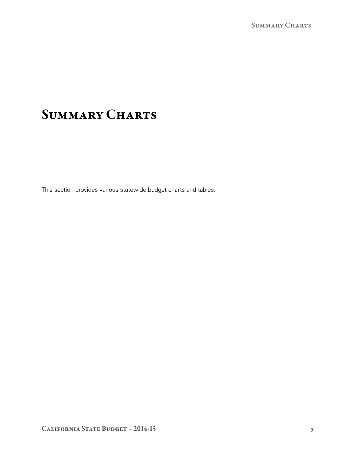# **SUMMARY CHARTS**

This section provides various statewide budget charts and tables.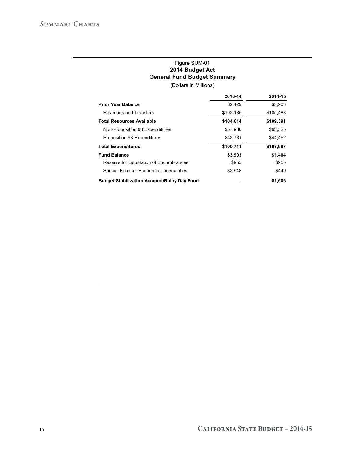## Figure SUM-01 **2014 Budget Act General Fund Budget Summary**

(Dollars in Millions)

|                                                    | 2013-14   | 2014-15   |
|----------------------------------------------------|-----------|-----------|
| <b>Prior Year Balance</b>                          | \$2,429   | \$3,903   |
| Revenues and Transfers                             | \$102,185 | \$105,488 |
| <b>Total Resources Available</b>                   | \$104.614 | \$109,391 |
| Non-Proposition 98 Expenditures                    | \$57,980  | \$63,525  |
| Proposition 98 Expenditures                        | \$42,731  | \$44,462  |
| <b>Total Expenditures</b>                          | \$100,711 | \$107,987 |
| <b>Fund Balance</b>                                | \$3,903   | \$1,404   |
| Reserve for Liquidation of Encumbrances            | \$955     | \$955     |
| Special Fund for Economic Uncertainties            | \$2.948   | \$449     |
| <b>Budget Stabilization Account/Rainy Day Fund</b> |           | \$1.606   |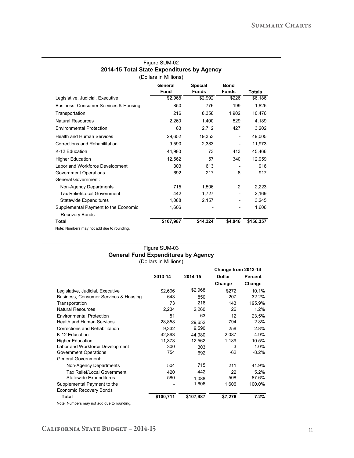| Figure SUM-02                              |
|--------------------------------------------|
| 2014-15 Total State Expenditures by Agency |
| (Dollars in Millions)                      |

|                                            | General<br><b>Fund</b> | <b>Special</b><br><b>Funds</b> | <b>Bond</b><br><b>Funds</b> | <b>Totals</b> |
|--------------------------------------------|------------------------|--------------------------------|-----------------------------|---------------|
| Legislative, Judicial, Executive           | \$2,968                | \$2,992                        | \$226                       | \$6,186       |
| Business, Consumer Services & Housing      | 850                    | 776                            | 199                         | 1,825         |
| Transportation                             | 216                    | 8,358                          | 1,902                       | 10,476        |
| <b>Natural Resources</b>                   | 2,260                  | 1,400                          | 529                         | 4,189         |
| <b>Environmental Protection</b>            | 63                     | 2,712                          | 427                         | 3,202         |
| <b>Health and Human Services</b>           | 29,652                 | 19,353                         | $\overline{\phantom{a}}$    | 49,005        |
| Corrections and Rehabilitation             | 9,590                  | 2,383                          |                             | 11,973        |
| K-12 Education                             | 44,980                 | 73                             | 413                         | 45,466        |
| <b>Higher Education</b>                    | 12,562                 | 57                             | 340                         | 12,959        |
| Labor and Workforce Development            | 303                    | 613                            |                             | 916           |
| Government Operations                      | 692                    | 217                            | 8                           | 917           |
| <b>General Government:</b>                 |                        |                                |                             |               |
| Non-Agency Departments                     | 715                    | 1,506                          | $\overline{2}$              | 2,223         |
| <b>Tax Relief/Local Government</b>         | 442                    | 1,727                          |                             | 2,169         |
| <b>Statewide Expenditures</b>              | 1,088                  | 2,157                          |                             | 3,245         |
| Supplemental Payment to the Economic       | 1,606                  |                                |                             | 1,606         |
| Recovery Bonds                             |                        |                                |                             |               |
| Total                                      | \$107,987              | \$44,324                       | \$4,046                     | \$156,357     |
| Note: Numbers may not add due to rounding. |                        |                                |                             |               |

#### Figure SUM-03 **General Fund Expenditures by Agency** (Dollars in Millions)

|                                       |           |           | Change from 2013-14 |         |  |
|---------------------------------------|-----------|-----------|---------------------|---------|--|
|                                       | 2013-14   | 2014-15   | <b>Dollar</b>       | Percent |  |
|                                       |           |           | Change              | Change  |  |
| Legislative, Judicial, Executive      | \$2,696   | \$2,968   | \$272               | 10.1%   |  |
| Business, Consumer Services & Housing | 643       | 850       | 207                 | 32.2%   |  |
| Transportation                        | 73        | 216       | 143                 | 195.9%  |  |
| <b>Natural Resources</b>              | 2,234     | 2,260     | 26                  | 1.2%    |  |
| <b>Environmental Protection</b>       | 51        | 63        | 12                  | 23.5%   |  |
| <b>Health and Human Services</b>      | 28,858    | 29.652    | 794                 | 2.8%    |  |
| Corrections and Rehabilitation        | 9.332     | 9,590     | 258                 | 2.8%    |  |
| K-12 Education                        | 42,893    | 44.980    | 2,087               | 4.9%    |  |
| <b>Higher Education</b>               | 11,373    | 12,562    | 1,189               | 10.5%   |  |
| Labor and Workforce Development       | 300       | 303       | 3                   | 1.0%    |  |
| <b>Government Operations</b>          | 754       | 692       | $-62$               | $-8.2%$ |  |
| General Government:                   |           |           |                     |         |  |
| Non-Agency Departments                | 504       | 715       | 211                 | 41.9%   |  |
| Tax Relief/Local Government           | 420       | 442       | 22                  | 5.2%    |  |
| <b>Statewide Expenditures</b>         | 580       | 1.088     | 508                 | 87.6%   |  |
| Supplemental Payment to the           |           | 1,606     | 1,606               | 100.0%  |  |
| <b>Economic Recovery Bonds</b>        |           |           |                     |         |  |
| Total                                 | \$100,711 | \$107,987 | \$7,276             | 7.2%    |  |
|                                       |           |           |                     |         |  |

Note: Numbers may not add due to rounding.